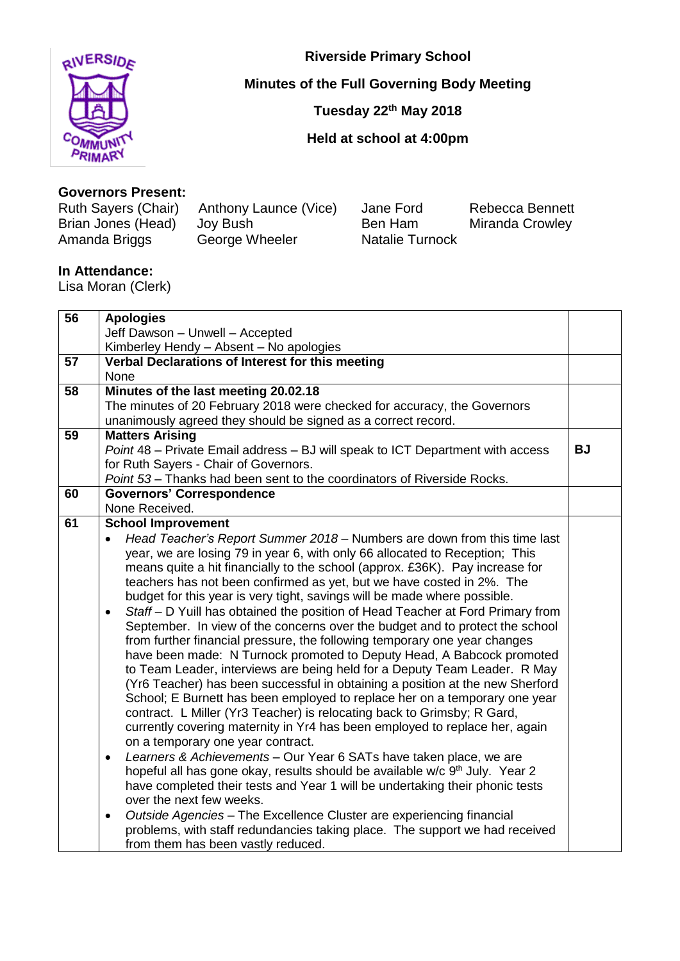

**Riverside Primary School**

**Minutes of the Full Governing Body Meeting**

**Tuesday 22 th May 2018**

**Held at school at 4:00pm**

## **Governors Present:**

Brian Jones (Head) Joy Bush **Ben Ham Miranda Crowley**<br>Amanda Briggs George Wheeler **Britannia Club Natalie Turnock** 

Anthony Launce (Vice) Jane Ford Rebecca Bennett<br>Jov Bush Ben Ham Miranda Crowlev George Wheeler

## **In Attendance:**

Lisa Moran (Clerk)

| 56 | <b>Apologies</b>                                                                            |           |
|----|---------------------------------------------------------------------------------------------|-----------|
|    | Jeff Dawson - Unwell - Accepted                                                             |           |
|    | Kimberley Hendy - Absent - No apologies                                                     |           |
| 57 | Verbal Declarations of Interest for this meeting                                            |           |
|    | None                                                                                        |           |
| 58 | Minutes of the last meeting 20.02.18                                                        |           |
|    | The minutes of 20 February 2018 were checked for accuracy, the Governors                    |           |
|    | unanimously agreed they should be signed as a correct record.                               |           |
| 59 | <b>Matters Arising</b>                                                                      |           |
|    | Point 48 - Private Email address - BJ will speak to ICT Department with access              | <b>BJ</b> |
|    | for Ruth Sayers - Chair of Governors.                                                       |           |
|    | Point 53 - Thanks had been sent to the coordinators of Riverside Rocks.                     |           |
| 60 | <b>Governors' Correspondence</b>                                                            |           |
|    | None Received.                                                                              |           |
| 61 | <b>School Improvement</b>                                                                   |           |
|    | Head Teacher's Report Summer 2018 – Numbers are down from this time last<br>$\bullet$       |           |
|    | year, we are losing 79 in year 6, with only 66 allocated to Reception; This                 |           |
|    | means quite a hit financially to the school (approx. £36K). Pay increase for                |           |
|    | teachers has not been confirmed as yet, but we have costed in 2%. The                       |           |
|    | budget for this year is very tight, savings will be made where possible.                    |           |
|    | Staff - D Yuill has obtained the position of Head Teacher at Ford Primary from<br>$\bullet$ |           |
|    | September. In view of the concerns over the budget and to protect the school                |           |
|    | from further financial pressure, the following temporary one year changes                   |           |
|    | have been made: N Turnock promoted to Deputy Head, A Babcock promoted                       |           |
|    | to Team Leader, interviews are being held for a Deputy Team Leader. R May                   |           |
|    | (Yr6 Teacher) has been successful in obtaining a position at the new Sherford               |           |
|    | School; E Burnett has been employed to replace her on a temporary one year                  |           |
|    | contract. L Miller (Yr3 Teacher) is relocating back to Grimsby; R Gard,                     |           |
|    | currently covering maternity in Yr4 has been employed to replace her, again                 |           |
|    | on a temporary one year contract.                                                           |           |
|    | Learners & Achievements - Our Year 6 SATs have taken place, we are<br>$\bullet$             |           |
|    | hopeful all has gone okay, results should be available w/c 9 <sup>th</sup> July. Year 2     |           |
|    | have completed their tests and Year 1 will be undertaking their phonic tests                |           |
|    | over the next few weeks.                                                                    |           |
|    | Outside Agencies - The Excellence Cluster are experiencing financial<br>$\bullet$           |           |
|    | problems, with staff redundancies taking place. The support we had received                 |           |
|    | from them has been vastly reduced.                                                          |           |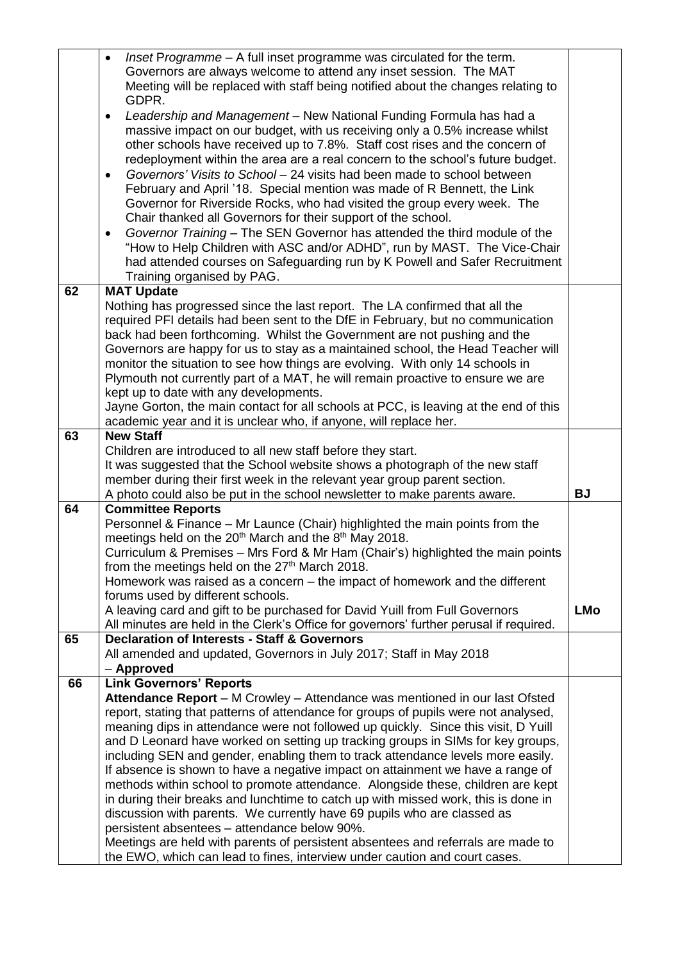|    | Inset Programme - A full inset programme was circulated for the term.<br>$\bullet$<br>Governors are always welcome to attend any inset session. The MAT<br>Meeting will be replaced with staff being notified about the changes relating to<br>GDPR.<br>Leadership and Management - New National Funding Formula has had a<br>٠<br>massive impact on our budget, with us receiving only a 0.5% increase whilst |            |
|----|----------------------------------------------------------------------------------------------------------------------------------------------------------------------------------------------------------------------------------------------------------------------------------------------------------------------------------------------------------------------------------------------------------------|------------|
|    | other schools have received up to 7.8%. Staff cost rises and the concern of<br>redeployment within the area are a real concern to the school's future budget.<br>Governors' Visits to School - 24 visits had been made to school between<br>$\bullet$<br>February and April '18. Special mention was made of R Bennett, the Link                                                                               |            |
|    | Governor for Riverside Rocks, who had visited the group every week. The<br>Chair thanked all Governors for their support of the school.<br>Governor Training - The SEN Governor has attended the third module of the<br>٠                                                                                                                                                                                      |            |
|    | "How to Help Children with ASC and/or ADHD", run by MAST. The Vice-Chair<br>had attended courses on Safeguarding run by K Powell and Safer Recruitment<br>Training organised by PAG.                                                                                                                                                                                                                           |            |
| 62 | <b>MAT Update</b>                                                                                                                                                                                                                                                                                                                                                                                              |            |
|    | Nothing has progressed since the last report. The LA confirmed that all the                                                                                                                                                                                                                                                                                                                                    |            |
|    | required PFI details had been sent to the DfE in February, but no communication                                                                                                                                                                                                                                                                                                                                |            |
|    | back had been forthcoming. Whilst the Government are not pushing and the                                                                                                                                                                                                                                                                                                                                       |            |
|    | Governors are happy for us to stay as a maintained school, the Head Teacher will                                                                                                                                                                                                                                                                                                                               |            |
|    | monitor the situation to see how things are evolving. With only 14 schools in                                                                                                                                                                                                                                                                                                                                  |            |
|    | Plymouth not currently part of a MAT, he will remain proactive to ensure we are                                                                                                                                                                                                                                                                                                                                |            |
|    | kept up to date with any developments.                                                                                                                                                                                                                                                                                                                                                                         |            |
|    | Jayne Gorton, the main contact for all schools at PCC, is leaving at the end of this                                                                                                                                                                                                                                                                                                                           |            |
| 63 | academic year and it is unclear who, if anyone, will replace her.<br><b>New Staff</b>                                                                                                                                                                                                                                                                                                                          |            |
|    | Children are introduced to all new staff before they start.                                                                                                                                                                                                                                                                                                                                                    |            |
|    | It was suggested that the School website shows a photograph of the new staff                                                                                                                                                                                                                                                                                                                                   |            |
|    | member during their first week in the relevant year group parent section.                                                                                                                                                                                                                                                                                                                                      |            |
|    | A photo could also be put in the school newsletter to make parents aware.                                                                                                                                                                                                                                                                                                                                      | <b>BJ</b>  |
| 64 | <b>Committee Reports</b>                                                                                                                                                                                                                                                                                                                                                                                       |            |
|    | Personnel & Finance – Mr Launce (Chair) highlighted the main points from the                                                                                                                                                                                                                                                                                                                                   |            |
|    | meetings held on the 20 <sup>th</sup> March and the 8 <sup>th</sup> May 2018.                                                                                                                                                                                                                                                                                                                                  |            |
|    | Curriculum & Premises - Mrs Ford & Mr Ham (Chair's) highlighted the main points                                                                                                                                                                                                                                                                                                                                |            |
|    | from the meetings held on the 27 <sup>th</sup> March 2018.                                                                                                                                                                                                                                                                                                                                                     |            |
|    | Homework was raised as a concern – the impact of homework and the different                                                                                                                                                                                                                                                                                                                                    |            |
|    | forums used by different schools.<br>A leaving card and gift to be purchased for David Yuill from Full Governors                                                                                                                                                                                                                                                                                               | <b>LMo</b> |
|    | All minutes are held in the Clerk's Office for governors' further perusal if required.                                                                                                                                                                                                                                                                                                                         |            |
| 65 | <b>Declaration of Interests - Staff &amp; Governors</b>                                                                                                                                                                                                                                                                                                                                                        |            |
|    | All amended and updated, Governors in July 2017; Staff in May 2018                                                                                                                                                                                                                                                                                                                                             |            |
|    | - Approved                                                                                                                                                                                                                                                                                                                                                                                                     |            |
| 66 | <b>Link Governors' Reports</b>                                                                                                                                                                                                                                                                                                                                                                                 |            |
|    | Attendance Report - M Crowley - Attendance was mentioned in our last Ofsted                                                                                                                                                                                                                                                                                                                                    |            |
|    | report, stating that patterns of attendance for groups of pupils were not analysed,                                                                                                                                                                                                                                                                                                                            |            |
|    | meaning dips in attendance were not followed up quickly. Since this visit, D Yuill                                                                                                                                                                                                                                                                                                                             |            |
|    | and D Leonard have worked on setting up tracking groups in SIMs for key groups,                                                                                                                                                                                                                                                                                                                                |            |
|    | including SEN and gender, enabling them to track attendance levels more easily.<br>If absence is shown to have a negative impact on attainment we have a range of                                                                                                                                                                                                                                              |            |
|    | methods within school to promote attendance. Alongside these, children are kept                                                                                                                                                                                                                                                                                                                                |            |
|    | in during their breaks and lunchtime to catch up with missed work, this is done in                                                                                                                                                                                                                                                                                                                             |            |
|    | discussion with parents. We currently have 69 pupils who are classed as                                                                                                                                                                                                                                                                                                                                        |            |
|    | persistent absentees - attendance below 90%.                                                                                                                                                                                                                                                                                                                                                                   |            |
|    | Meetings are held with parents of persistent absentees and referrals are made to                                                                                                                                                                                                                                                                                                                               |            |
|    | the EWO, which can lead to fines, interview under caution and court cases.                                                                                                                                                                                                                                                                                                                                     |            |